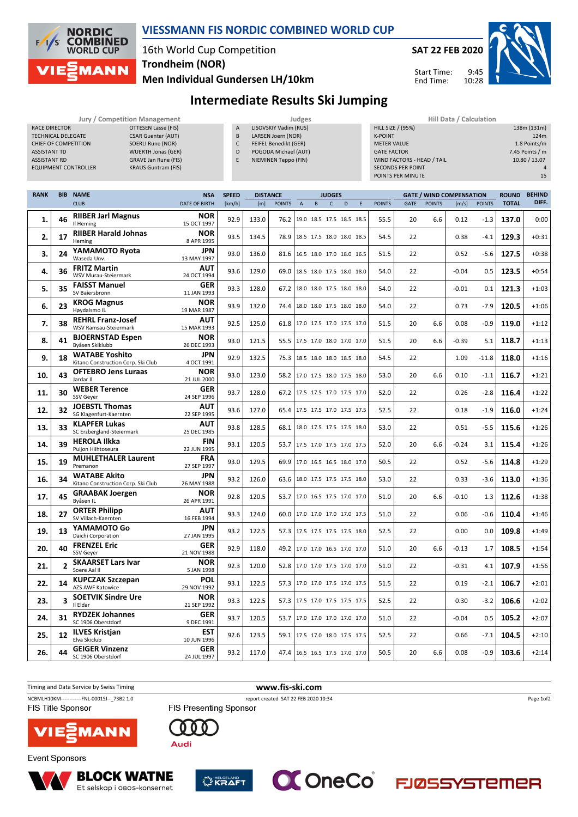

#### **VIESSMANN FIS NORDIC COMBINED WORLD CUP**

# 16th World Cup Competition **Trondheim (NOR)**

**Men Individual Gundersen LH/10km**



Start Time: End Time:

9:45 10:28



### **Intermediate Results Ski Jumping**

LISOVSKIY Vadim (RUS) LARSEN Joern (NOR) FEIFEL Benedikt (GER) POGODA Michael (AUT) NIEMINEN Teppo (FIN)

|                             | <b>Jury / Competition Management</b> |                |
|-----------------------------|--------------------------------------|----------------|
| <b>RACE DIRECTOR</b>        | <b>OTTESEN Lasse (FIS)</b>           | $\overline{A}$ |
| <b>TECHNICAL DELEGATE</b>   | <b>CSAR Guenter (AUT)</b>            | B              |
| <b>CHIEF OF COMPETITION</b> | <b>SOERLI Rune (NOR)</b>             | C              |
| <b>ASSISTANT TD</b>         | <b>WUERTH Jonas (GER)</b>            | D              |
| <b>ASSISTANT RD</b>         | <b>GRAVE Jan Rune (FIS)</b>          | F              |
| <b>EQUIPMENT CONTROLLER</b> | <b>KRAUS Guntram (FIS)</b>           |                |

**Jury / Competition Management Judges Hill Data / Calculation** HILL SIZE / (95%) 138m (131m) K-POINT 124m METER VALUE **1.8 Points/m** GATE FACTOR **6** The contract of the contract of the contract of the contract of the contract of the contract of the contract of the contract of the contract of the contract of the contract of the contract of the contract o WIND FACTORS - HEAD / TAIL 10.80 / 13.07 SECONDS PER POINT 4<br>
POINTS PER MINUTE<br>
15 POINTS PER MINUTE

| <b>RANK</b> |                | <b>BIB NAME</b>                                             | <b>NSA</b>                | <b>SPEED</b> | <b>DISTANCE</b> |               | <b>JUDGES</b>                   |   |              |   | <b>GATE / WIND COMPENSATION</b> |               |             |               |         | <b>ROUND</b>  | <b>BEHIND</b> |         |
|-------------|----------------|-------------------------------------------------------------|---------------------------|--------------|-----------------|---------------|---------------------------------|---|--------------|---|---------------------------------|---------------|-------------|---------------|---------|---------------|---------------|---------|
|             |                | <b>CLUB</b>                                                 | <b>DATE OF BIRTH</b>      | [km/h]       | [m]             | <b>POINTS</b> | $\overline{A}$                  | B | $\mathsf{C}$ | D | E                               | <b>POINTS</b> | <b>GATE</b> | <b>POINTS</b> | [m/s]   | <b>POINTS</b> | <b>TOTAL</b>  | DIFF.   |
| 1.          | 46             | <b>RIIBER Jarl Magnus</b><br>Il Heming                      | <b>NOR</b><br>15 OCT 1997 | 92.9         | 133.0           | 76.2          | 19.0 18.5 17.5 18.5 18.5        |   |              |   |                                 | 55.5          | 20          | 6.6           | 0.12    | $-1.3$        | 137.0         | 0:00    |
| 2.          | 17             | <b>RIIBER Harald Johnas</b><br>Heming                       | <b>NOR</b><br>8 APR 1995  | 93.5         | 134.5           | 78.9          | 18.5 17.5 18.0 18.0 18.5        |   |              |   |                                 | 54.5          | 22          |               | 0.38    | $-4.1$        | 129.3         | $+0:31$ |
| 3.          | 24             | YAMAMOTO Ryota<br>Waseda Unv.                               | <b>JPN</b><br>13 MAY 1997 | 93.0         | 136.0           | 81.6          | 16.5 18.0 17.0 18.0 16.5        |   |              |   |                                 | 51.5          | 22          |               | 0.52    | $-5.6$        | 127.5         | $+0:38$ |
| 4.          | 36             | <b>FRITZ Martin</b><br>WSV Murau-Steiermark                 | <b>AUT</b><br>24 OCT 1994 | 93.6         | 129.0           | 69.0          | 18.5 18.0 17.5 18.0 18.0        |   |              |   |                                 | 54.0          | 22          |               | $-0.04$ | 0.5           | 123.5         | $+0:54$ |
| 5.          | 35             | <b>FAISST Manuel</b><br>SV Baiersbronn                      | GER<br>11 JAN 1993        | 93.3         | 128.0           | 67.2          | 18.0 18.0 17.5 18.0 18.0        |   |              |   |                                 | 54.0          | 22          |               | $-0.01$ | 0.1           | 121.3         | $+1:03$ |
| 6.          | 23             | <b>KROG Magnus</b><br>Høvdalsmo IL                          | <b>NOR</b><br>19 MAR 1987 | 93.9         | 132.0           | 74.4          | 18.0 18.0 17.5 18.0 18.0        |   |              |   |                                 | 54.0          | 22          |               | 0.73    | $-7.9$        | 120.5         | $+1:06$ |
| 7.          | 38             | <b>REHRL Franz-Josef</b><br>WSV Ramsau-Steiermark           | <b>AUT</b><br>15 MAR 1993 | 92.5         | 125.0           | 61.8          | 17.0 17.5 17.0 17.5 17.0        |   |              |   |                                 | 51.5          | 20          | 6.6           | 0.08    | $-0.9$        | 119.0         | $+1:12$ |
| 8.          | 41             | <b>BJOERNSTAD Espen</b><br>Byåsen Skiklubb                  | <b>NOR</b><br>26 DEC 1993 | 93.0         | 121.5           | 55.5          | 17.5 17.0 18.0 17.0 17.0        |   |              |   |                                 | 51.5          | 20          | 6.6           | $-0.39$ | 5.1           | 118.7         | $+1:13$ |
| 9.          | 18             | <b>WATABE Yoshito</b><br>Kitano Construction Corp. Ski Club | <b>JPN</b><br>4 OCT 1991  | 92.9         | 132.5           | 75.3          | 18.5 18.0 18.0 18.5 18.0        |   |              |   |                                 | 54.5          | 22          |               | 1.09    | $-11.8$       | 118.0         | $+1:16$ |
| 10.         | 43             | <b>OFTEBRO Jens Luraas</b><br>Jardar II                     | <b>NOR</b><br>21 JUL 2000 | 93.0         | 123.0           | 58.2          | 17.0 17.5 18.0 17.5 18.0        |   |              |   |                                 | 53.0          | 20          | 6.6           | 0.10    | $-1.1$        | 116.7         | $+1:21$ |
| 11.         | 30             | <b>WEBER Terence</b><br><b>SSV Gever</b>                    | <b>GER</b><br>24 SEP 1996 | 93.7         | 128.0           | 67.2          | 17.5 17.5 17.0 17.5 17.0        |   |              |   |                                 | 52.0          | 22          |               | 0.26    | $-2.8$        | 116.4         | $+1:22$ |
| 12.         | 32             | <b>JOEBSTL Thomas</b><br>SG Klagenfurt-Kaernten             | <b>AUT</b><br>22 SEP 1995 | 93.6         | 127.0           | 65.4          | 17.5 17.5 17.0 17.5 17.5        |   |              |   |                                 | 52.5          | 22          |               | 0.18    | $-1.9$        | 116.0         | $+1:24$ |
| 13.         | 33             | <b>KLAPFER Lukas</b><br>SC Erzbergland-Steiermark           | AUT<br>25 DEC 1985        | 93.8         | 128.5           | 68.1          | 18.0 17.5 17.5 17.5 18.0        |   |              |   |                                 | 53.0          | 22          |               | 0.51    | $-5.5$        | 115.6         | $+1:26$ |
| 14.         | 39             | <b>HEROLA Ilkka</b><br>Puijon Hiihtoseura                   | <b>FIN</b><br>22 JUN 1995 | 93.1         | 120.5           | 53.7          | 17.5 17.0 17.5 17.0 17.5        |   |              |   |                                 | 52.0          | 20          | 6.6           | $-0.24$ | 3.1           | 115.4         | $+1:26$ |
| 15.         | 19             | <b>MUHLETHALER Laurent</b><br>Premanon                      | <b>FRA</b><br>27 SEP 1997 | 93.0         | 129.5           | 69.9          | 17.0 16.5 16.5 18.0 17.0        |   |              |   |                                 | 50.5          | 22          |               | 0.52    | $-5.6$        | 114.8         | $+1:29$ |
| 16.         | 34             | <b>WATABE Akito</b><br>Kitano Construction Corp. Ski Club   | <b>JPN</b><br>26 MAY 1988 | 93.2         | 126.0           | 63.6          | 18.0 17.5 17.5 17.5 18.0        |   |              |   |                                 | 53.0          | 22          |               | 0.33    | $-3.6$        | 113.0         | $+1:36$ |
| 17.         | 45             | <b>GRAABAK Joergen</b><br>Byåsen IL                         | NOR<br>26 APR 1991        | 92.8         | 120.5           | 53.7          | 17.0 16.5 17.5 17.0 17.0        |   |              |   |                                 | 51.0          | 20          | 6.6           | $-0.10$ | 1.3           | 112.6         | $+1:38$ |
| 18.         | 27             | <b>ORTER Philipp</b><br>SV Villach-Kaernten                 | <b>AUT</b><br>16 FEB 1994 | 93.3         | 124.0           |               | 60.0   17.0 17.0 17.0 17.0 17.5 |   |              |   |                                 | 51.0          | 22          |               | 0.06    | $-0.6$        | 110.4         | $+1:46$ |
| 19.         | 13             | YAMAMOTO Go<br>Daichi Corporation                           | <b>JPN</b><br>27 JAN 1995 | 93.2         | 122.5           | 57.3          | 17.5 17.5 17.5 17.5 18.0        |   |              |   |                                 | 52.5          | 22          |               | 0.00    | 0.0           | 109.8         | $+1:49$ |
| 20.         | 40             | <b>FRENZEL Eric</b><br><b>SSV Gever</b>                     | <b>GER</b><br>21 NOV 1988 | 92.9         | 118.0           | 49.2          | 17.0 17.0 16.5 17.0 17.0        |   |              |   |                                 | 51.0          | 20          | 6.6           | $-0.13$ | 1.7           | 108.5         | $+1:54$ |
| 21.         | $\overline{2}$ | <b>SKAARSET Lars Ivar</b><br>Soere Aal il                   | <b>NOR</b><br>5 JAN 1998  | 92.3         | 120.0           | 52.8          | 17.0 17.0 17.5 17.0 17.0        |   |              |   |                                 | 51.0          | 22          |               | $-0.31$ | 4.1           | 107.9         | $+1:56$ |
| 22.         | 14             | <b>KUPCZAK Szczepan</b><br>AZS AWF Katowice                 | <b>POL</b><br>29 NOV 1992 | 93.1         | 122.5           |               | 57.3   17.0 17.0 17.5 17.0 17.5 |   |              |   |                                 | 51.5          | 22          |               | 0.19    | $-2.1$        | 106.7         | $+2:01$ |
| 23.         | 3              | <b>SOETVIK Sindre Ure</b><br>Il Eldar                       | <b>NOR</b><br>21 SEP 1992 | 93.3         | 122.5           | 57.3          | 17.5 17.0 17.5 17.5 17.5        |   |              |   |                                 | 52.5          | 22          |               | 0.30    | $-3.2$        | 106.6         | $+2:02$ |
| 24.         | 31             | <b>RYDZEK Johannes</b><br>SC 1906 Oberstdorf                | <b>GER</b><br>9 DEC 1991  | 93.7         | 120.5           | 53.7          | 17.0 17.0 17.0 17.0 17.0        |   |              |   |                                 | 51.0          | 22          |               | $-0.04$ | 0.5           | 105.2         | $+2:07$ |
| 25.         | 12             | <b>ILVES Kristjan</b><br>Elva Skiclub                       | <b>EST</b><br>10 JUN 1996 | 92.6         | 123.5           | 59.1          | 17.5 17.0 18.0 17.5 17.5        |   |              |   |                                 | 52.5          | 22          |               | 0.66    | $-7.1$        | 104.5         | $+2:10$ |
| 26.         | 44             | <b>GEIGER Vinzenz</b><br>SC 1906 Oberstdorf                 | <b>GER</b><br>24 JUL 1997 | 93.2         | 117.0           |               | 47.4 16.5 16.5 17.5 17.0 17.0   |   |              |   |                                 | 50.5          | 20          | 6.6           | 0.08    | $-0.9$        | 103.6         | $+2:14$ |